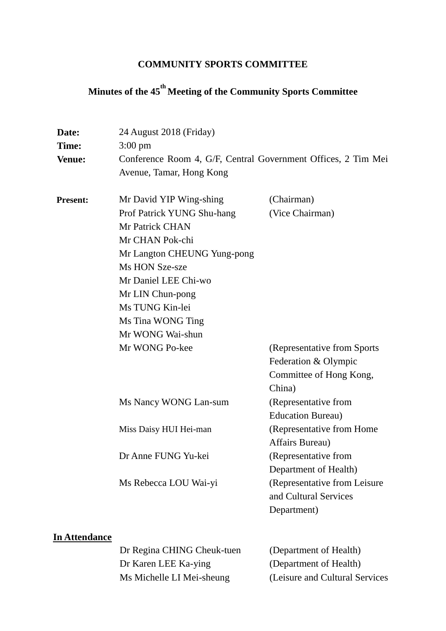## **COMMUNITY SPORTS COMMITTEE**

# **Minutes of the 45 th Meeting of the Community Sports Committee**

| Date:<br>Time:<br><b>Venue:</b> | 24 August 2018 (Friday)<br>$3:00 \text{ pm}$<br>Conference Room 4, G/F, Central Government Offices, 2 Tim Mei<br>Avenue, Tamar, Hong Kong                                                                                                                              |                                                                                                                                                                                                                                      |
|---------------------------------|------------------------------------------------------------------------------------------------------------------------------------------------------------------------------------------------------------------------------------------------------------------------|--------------------------------------------------------------------------------------------------------------------------------------------------------------------------------------------------------------------------------------|
| <b>Present:</b>                 | Mr David YIP Wing-shing<br>Prof Patrick YUNG Shu-hang<br>Mr Patrick CHAN<br>Mr CHAN Pok-chi<br>Mr Langton CHEUNG Yung-pong<br>Ms HON Sze-sze<br>Mr Daniel LEE Chi-wo<br>Mr LIN Chun-pong<br>Ms TUNG Kin-lei<br>Ms Tina WONG Ting<br>Mr WONG Wai-shun<br>Mr WONG Po-kee | (Chairman)<br>(Vice Chairman)<br>(Representative from Sports)<br>Federation & Olympic<br>Committee of Hong Kong,                                                                                                                     |
|                                 | Ms Nancy WONG Lan-sum<br>Miss Daisy HUI Hei-man<br>Dr Anne FUNG Yu-kei<br>Ms Rebecca LOU Wai-yi                                                                                                                                                                        | China)<br>(Representative from<br><b>Education Bureau</b> )<br>(Representative from Home<br>Affairs Bureau)<br>(Representative from<br>Department of Health)<br>(Representative from Leisure<br>and Cultural Services<br>Department) |

## **In Attendance**

Dr Regina CHING Cheuk-tuen (Department of Health) Dr Karen LEE Ka-ying (Department of Health) Ms Michelle LI Mei-sheung (Leisure and Cultural Services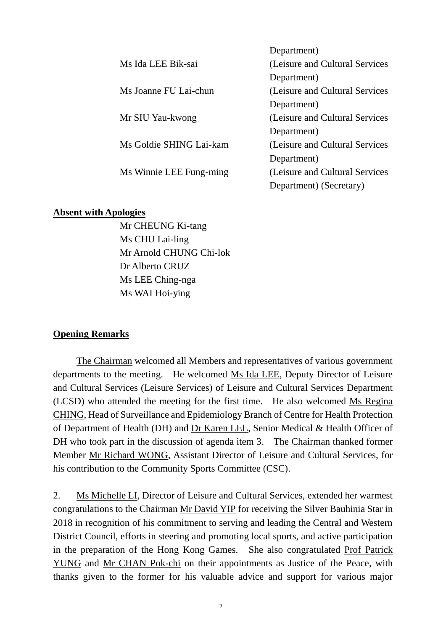|                         | Department)                     |
|-------------------------|---------------------------------|
| Ms Ida LEE Bik-sai      | (Leisure and Cultural Services) |
|                         | Department)                     |
| Ms Joanne FU Lai-chun   | (Leisure and Cultural Services) |
|                         | Department)                     |
| Mr SIU Yau-kwong        | (Leisure and Cultural Services) |
|                         | Department)                     |
| Ms Goldie SHING Lai-kam | (Leisure and Cultural Services) |
|                         | Department)                     |
| Ms Winnie LEE Fung-ming | (Leisure and Cultural Services) |
|                         | Department) (Secretary)         |
|                         |                                 |

#### **Absent with Apologies**

Mr CHEUNG Ki-tang Ms CHU Lai-ling Mr Arnold CHUNG Chi-lok Dr Alberto CRUZ Ms LEE Ching-nga Ms WAI Hoi-ying

#### **Opening Remarks**

The Chairman welcomed all Members and representatives of various government departments to the meeting. He welcomed Ms Ida LEE, Deputy Director of Leisure and Cultural Services (Leisure Services) of Leisure and Cultural Services Department (LCSD) who attended the meeting for the first time. He also welcomed Ms Regina CHING, Head of Surveillance and Epidemiology Branch of Centre for Health Protection of Department of Health (DH) and Dr Karen LEE, Senior Medical & Health Officer of DH who took part in the discussion of agenda item 3. The Chairman thanked former Member Mr Richard WONG, Assistant Director of Leisure and Cultural Services, for his contribution to the Community Sports Committee (CSC).

2. Ms Michelle LI, Director of Leisure and Cultural Services, extended her warmest congratulations to the Chairman Mr David YIP for receiving the Silver Bauhinia Star in 2018 in recognition of his commitment to serving and leading the Central and Western District Council, efforts in steering and promoting local sports, and active participation in the preparation of the Hong Kong Games. She also congratulated Prof Patrick YUNG and Mr CHAN Pok-chi on their appointments as Justice of the Peace, with thanks given to the former for his valuable advice and support for various major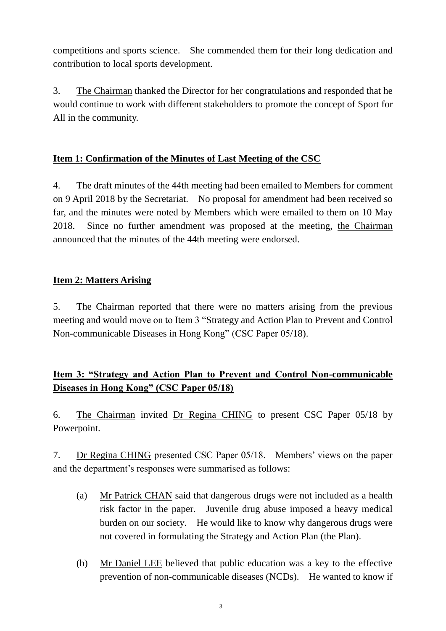competitions and sports science. She commended them for their long dedication and contribution to local sports development.

3. The Chairman thanked the Director for her congratulations and responded that he would continue to work with different stakeholders to promote the concept of Sport for All in the community.

## **Item 1: Confirmation of the Minutes of Last Meeting of the CSC**

4. The draft minutes of the 44th meeting had been emailed to Members for comment on 9 April 2018 by the Secretariat. No proposal for amendment had been received so far, and the minutes were noted by Members which were emailed to them on 10 May 2018. Since no further amendment was proposed at the meeting, the Chairman announced that the minutes of the 44th meeting were endorsed.

## **Item 2: Matters Arising**

5. The Chairman reported that there were no matters arising from the previous meeting and would move on to Item 3 "Strategy and Action Plan to Prevent and Control Non-communicable Diseases in Hong Kong" (CSC Paper 05/18).

# **Item 3: "Strategy and Action Plan to Prevent and Control Non-communicable Diseases in Hong Kong" (CSC Paper 05/18)**

6. The Chairman invited Dr Regina CHING to present CSC Paper 05/18 by Powerpoint.

7. Dr Regina CHING presented CSC Paper 05/18. Members' views on the paper and the department's responses were summarised as follows:

- (a) Mr Patrick CHAN said that dangerous drugs were not included as a health risk factor in the paper. Juvenile drug abuse imposed a heavy medical burden on our society. He would like to know why dangerous drugs were not covered in formulating the Strategy and Action Plan (the Plan).
- (b) Mr Daniel LEE believed that public education was a key to the effective prevention of non-communicable diseases (NCDs). He wanted to know if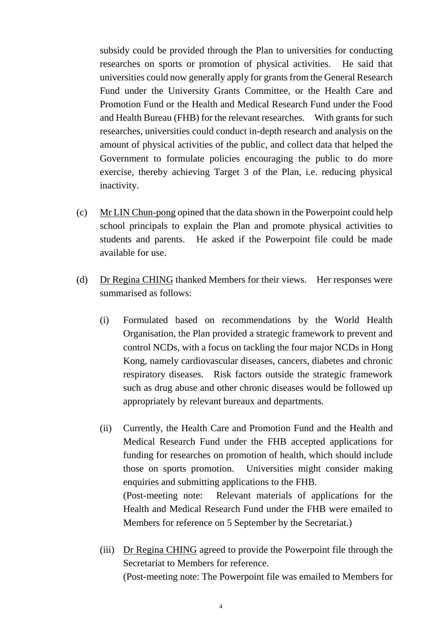subsidy could be provided through the Plan to universities for conducting researches on sports or promotion of physical activities. He said that universities could now generally apply for grants from the General Research Fund under the University Grants Committee, or the Health Care and Promotion Fund or the Health and Medical Research Fund under the Food and Health Bureau (FHB) for the relevant researches. With grants for such researches, universities could conduct in-depth research and analysis on the amount of physical activities of the public, and collect data that helped the Government to formulate policies encouraging the public to do more exercise, thereby achieving Target 3 of the Plan, i.e. reducing physical inactivity.

- (c) Mr LIN Chun-pong opined that the data shown in the Powerpoint could help school principals to explain the Plan and promote physical activities to students and parents. He asked if the Powerpoint file could be made available for use.
- (d) Dr Regina CHING thanked Members for their views. Her responses were summarised as follows:
	- (i) Formulated based on recommendations by the World Health Organisation, the Plan provided a strategic framework to prevent and control NCDs, with a focus on tackling the four major NCDs in Hong Kong, namely cardiovascular diseases, cancers, diabetes and chronic respiratory diseases. Risk factors outside the strategic framework such as drug abuse and other chronic diseases would be followed up appropriately by relevant bureaux and departments.
	- (ii) Currently, the Health Care and Promotion Fund and the Health and Medical Research Fund under the FHB accepted applications for funding for researches on promotion of health, which should include those on sports promotion. Universities might consider making enquiries and submitting applications to the FHB. (Post-meeting note: Relevant materials of applications for the Health and Medical Research Fund under the FHB were emailed to
	- (iii) Dr Regina CHING agreed to provide the Powerpoint file through the Secretariat to Members for reference. (Post-meeting note: The Powerpoint file was emailed to Members for

Members for reference on 5 September by the Secretariat.)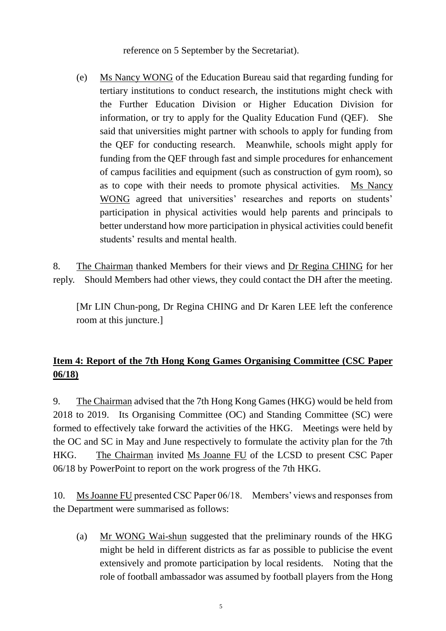reference on 5 September by the Secretariat).

(e) Ms Nancy WONG of the Education Bureau said that regarding funding for tertiary institutions to conduct research, the institutions might check with the Further Education Division or Higher Education Division for information, or try to apply for the Quality Education Fund (QEF). She said that universities might partner with schools to apply for funding from the QEF for conducting research. Meanwhile, schools might apply for funding from the QEF through fast and simple procedures for enhancement of campus facilities and equipment (such as construction of gym room), so as to cope with their needs to promote physical activities. Ms Nancy WONG agreed that universities' researches and reports on students' participation in physical activities would help parents and principals to better understand how more participation in physical activities could benefit students' results and mental health.

8. The Chairman thanked Members for their views and Dr Regina CHING for her reply. Should Members had other views, they could contact the DH after the meeting.

[Mr LIN Chun-pong, Dr Regina CHING and Dr Karen LEE left the conference room at this juncture.]

# **Item 4: Report of the 7th Hong Kong Games Organising Committee (CSC Paper 06/18)**

9. The Chairman advised that the 7th Hong Kong Games (HKG) would be held from 2018 to 2019. Its Organising Committee (OC) and Standing Committee (SC) were formed to effectively take forward the activities of the HKG. Meetings were held by the OC and SC in May and June respectively to formulate the activity plan for the 7th HKG. The Chairman invited Ms Joanne FU of the LCSD to present CSC Paper 06/18 by PowerPoint to report on the work progress of the 7th HKG.

10. Ms Joanne FU presented CSC Paper 06/18. Members' views and responses from the Department were summarised as follows:

(a) Mr WONG Wai-shun suggested that the preliminary rounds of the HKG might be held in different districts as far as possible to publicise the event extensively and promote participation by local residents. Noting that the role of football ambassador was assumed by football players from the Hong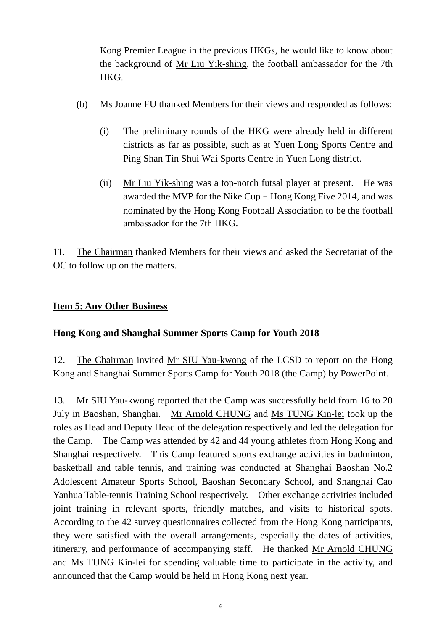Kong Premier League in the previous HKGs, he would like to know about the background of Mr Liu Yik-shing, the football ambassador for the 7th HKG.

- (b) Ms Joanne FU thanked Members for their views and responded as follows:
	- (i) The preliminary rounds of the HKG were already held in different districts as far as possible, such as at Yuen Long Sports Centre and Ping Shan Tin Shui Wai Sports Centre in Yuen Long district.
	- (ii) Mr Liu Yik-shing was a top-notch futsal player at present. He was awarded the MVP for the Nike Cup–Hong Kong Five 2014, and was nominated by the Hong Kong Football Association to be the football ambassador for the 7th HKG.

11. The Chairman thanked Members for their views and asked the Secretariat of the OC to follow up on the matters.

#### **Item 5: Any Other Business**

#### **Hong Kong and Shanghai Summer Sports Camp for Youth 2018**

12. The Chairman invited Mr SIU Yau-kwong of the LCSD to report on the Hong Kong and Shanghai Summer Sports Camp for Youth 2018 (the Camp) by PowerPoint.

13. Mr SIU Yau-kwong reported that the Camp was successfully held from 16 to 20 July in Baoshan, Shanghai. Mr Arnold CHUNG and Ms TUNG Kin-lei took up the roles as Head and Deputy Head of the delegation respectively and led the delegation for the Camp. The Camp was attended by 42 and 44 young athletes from Hong Kong and Shanghai respectively. This Camp featured sports exchange activities in badminton, basketball and table tennis, and training was conducted at Shanghai Baoshan No.2 Adolescent Amateur Sports School, Baoshan Secondary School, and Shanghai Cao Yanhua Table-tennis Training School respectively. Other exchange activities included joint training in relevant sports, friendly matches, and visits to historical spots. According to the 42 survey questionnaires collected from the Hong Kong participants, they were satisfied with the overall arrangements, especially the dates of activities, itinerary, and performance of accompanying staff. He thanked Mr Arnold CHUNG and Ms TUNG Kin-lei for spending valuable time to participate in the activity, and announced that the Camp would be held in Hong Kong next year.